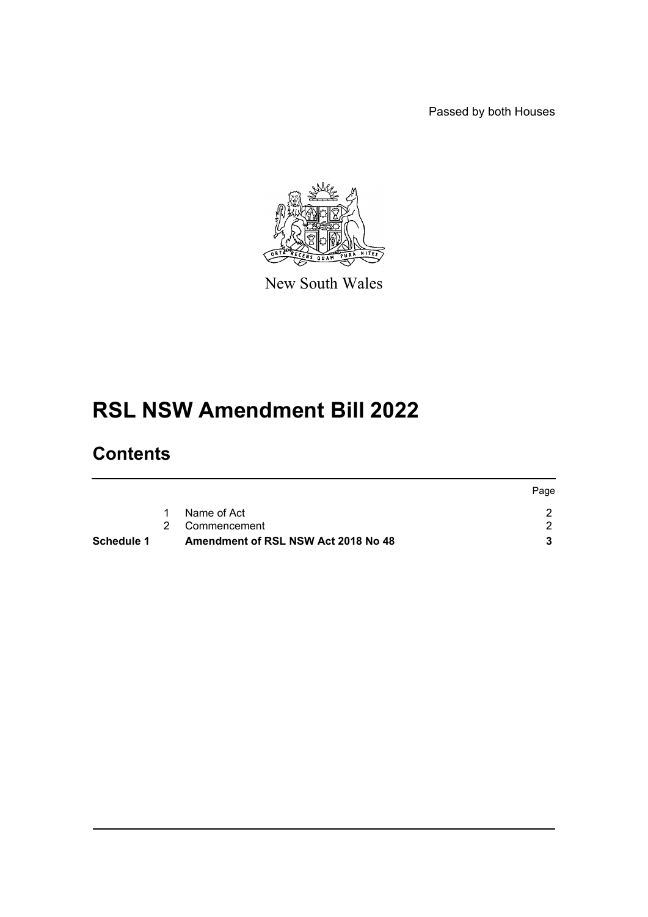Passed by both Houses



New South Wales

# **RSL NSW Amendment Bill 2022**

### **Contents**

|                                     | Page                |
|-------------------------------------|---------------------|
| Name of Act                         |                     |
|                                     |                     |
| Amendment of RSL NSW Act 2018 No 48 |                     |
|                                     | 1<br>2 Commencement |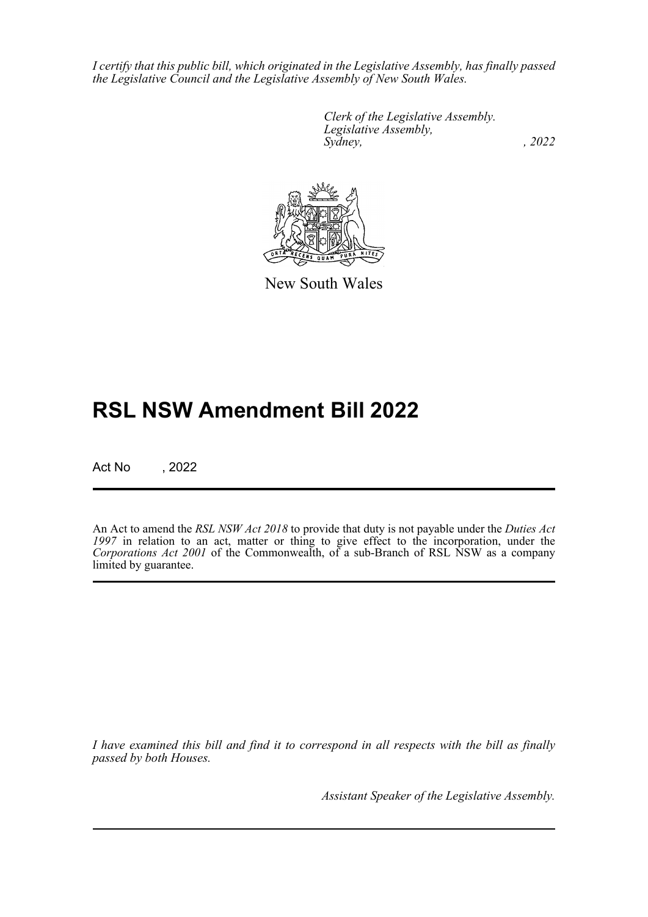*I certify that this public bill, which originated in the Legislative Assembly, has finally passed the Legislative Council and the Legislative Assembly of New South Wales.*

> *Clerk of the Legislative Assembly. Legislative Assembly, Sydney, , 2022*



New South Wales

## **RSL NSW Amendment Bill 2022**

Act No , 2022

An Act to amend the *RSL NSW Act 2018* to provide that duty is not payable under the *Duties Act* 1997 in relation to an act, matter or thing to give effect to the incorporation, under the *Corporations Act 2001* of the Commonwealth, of a sub-Branch of RSL NSW as a company limited by guarantee.

*I have examined this bill and find it to correspond in all respects with the bill as finally passed by both Houses.*

*Assistant Speaker of the Legislative Assembly.*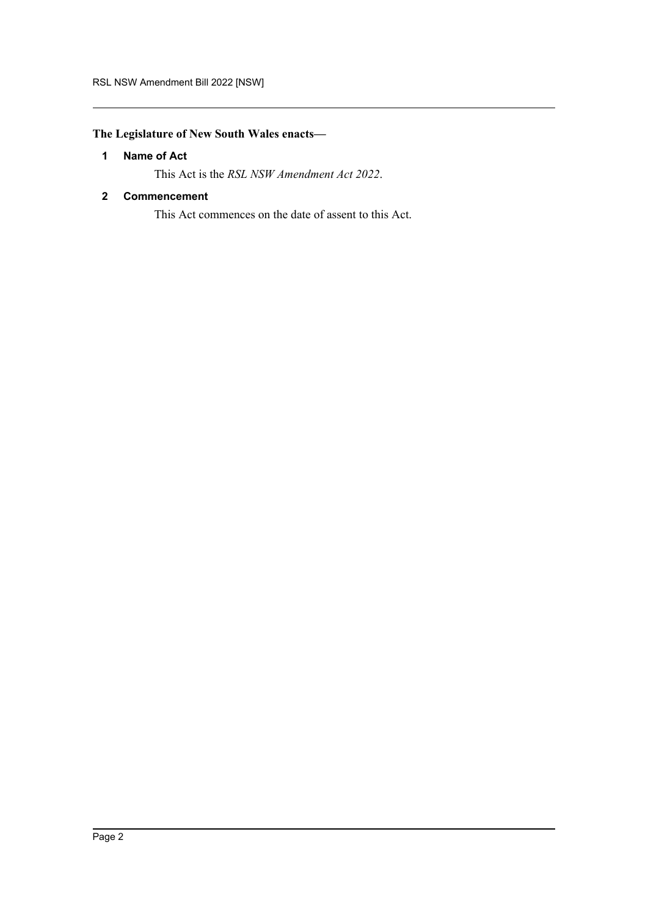#### <span id="page-2-0"></span>**The Legislature of New South Wales enacts—**

#### **1 Name of Act**

This Act is the *RSL NSW Amendment Act 2022*.

#### <span id="page-2-1"></span>**2 Commencement**

This Act commences on the date of assent to this Act.